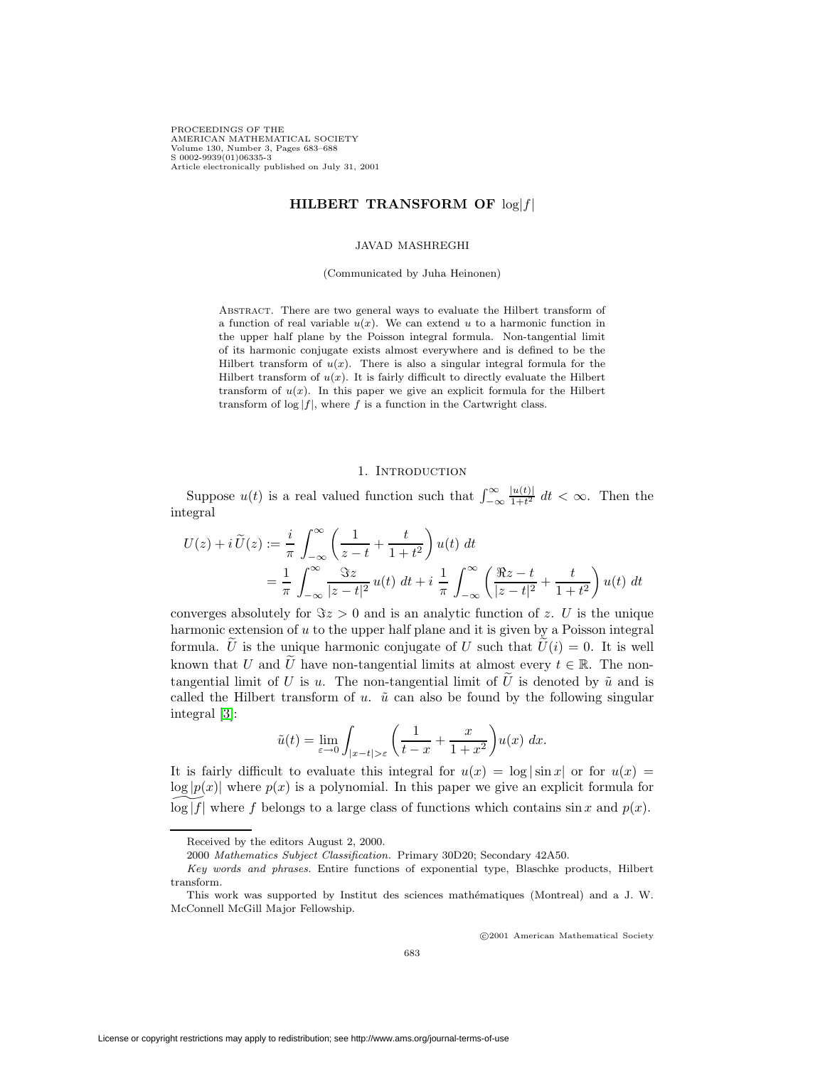PROCEEDINGS OF THE AMERICAN MATHEMATICAL SOCIETY Volume 130, Number 3, Pages 683–688 S 0002-9939(01)06335-3 Article electronically published on July 31, 2001

## **HILBERT TRANSFORM OF** log|f|

#### JAVAD MASHREGHI

### (Communicated by Juha Heinonen)

Abstract. There are two general ways to evaluate the Hilbert transform of a function of real variable  $u(x)$ . We can extend u to a harmonic function in the upper half plane by the Poisson integral formula. Non-tangential limit of its harmonic conjugate exists almost everywhere and is defined to be the Hilbert transform of  $u(x)$ . There is also a singular integral formula for the Hilbert transform of  $u(x)$ . It is fairly difficult to directly evaluate the Hilbert transform of  $u(x)$ . In this paper we give an explicit formula for the Hilbert transform of  $\log|f|$ , where f is a function in the Cartwright class.

## 1. INTRODUCTION

Suppose  $u(t)$  is a real valued function such that  $\int_{-\infty}^{\infty}$  $\frac{|u(t)|}{1+t^2}$  dt <  $\infty$ . Then the integral

$$
U(z) + i \widetilde{U}(z) := \frac{i}{\pi} \int_{-\infty}^{\infty} \left( \frac{1}{z - t} + \frac{t}{1 + t^2} \right) u(t) dt
$$
  
= 
$$
\frac{1}{\pi} \int_{-\infty}^{\infty} \frac{\Im z}{|z - t|^2} u(t) dt + i \frac{1}{\pi} \int_{-\infty}^{\infty} \left( \frac{\Re z - t}{|z - t|^2} + \frac{t}{1 + t^2} \right) u(t) dt
$$

converges absolutely for  $\Im z > 0$  and is an analytic function of z. U is the unique harmonic extension of  $u$  to the upper half plane and it is given by a Poisson integral formula. U is the unique harmonic conjugate of U such that  $\tilde{U}(i) = 0$ . It is well known that U and  $\tilde{U}$  have non-tangential limits at almost every  $t \in \mathbb{R}$ . The nontangential limit of U is u. The non-tangential limit of  $\tilde{U}$  is denoted by  $\tilde{u}$  and is called the Hilbert transform of u.  $\tilde{u}$  can also be found by the following singular integral [\[3\]](#page-5-0):

$$
\tilde{u}(t) = \lim_{\varepsilon \to 0} \int_{|x-t| > \varepsilon} \left( \frac{1}{t-x} + \frac{x}{1+x^2} \right) u(x) \, dx.
$$

It is fairly difficult to evaluate this integral for  $u(x) = \log |\sin x|$  or for  $u(x) =$  $\log |p(x)|$  where  $p(x)$  is a polynomial. In this paper we give an explicit formula for  $\log|f|$  where f belongs to a large class of functions which contains sin x and p(x).

c 2001 American Mathematical Society

Received by the editors August 2, 2000.

<sup>2000</sup> Mathematics Subject Classification. Primary 30D20; Secondary 42A50.

Key words and phrases. Entire functions of exponential type, Blaschke products, Hilbert transform.

This work was supported by Institut des sciences mathématiques (Montreal) and a J. W. McConnell McGill Major Fellowship.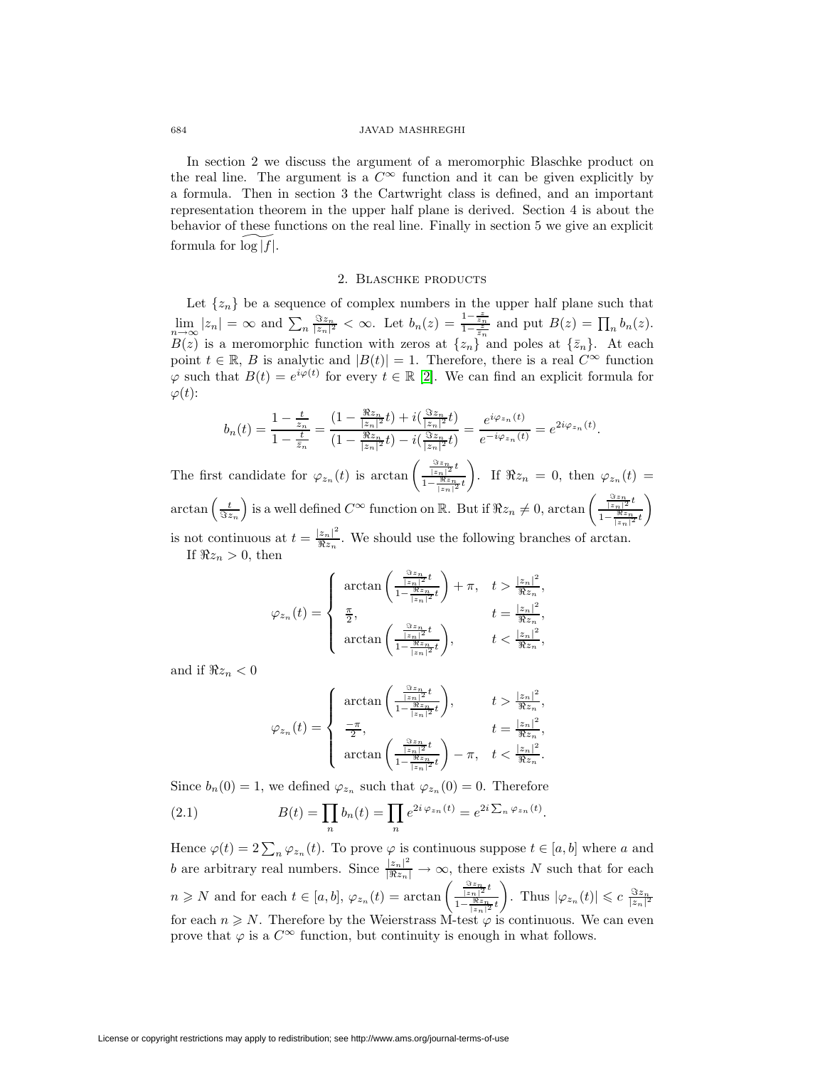#### 684 JAVAD MASHREGHI

In section 2 we discuss the argument of a meromorphic Blaschke product on the real line. The argument is a  $C^{\infty}$  function and it can be given explicitly by a formula. Then in section 3 the Cartwright class is defined, and an important representation theorem in the upper half plane is derived. Section 4 is about the behavior of these functions on the real line. Finally in section 5 we give an explicit formula for  $\log|f|$ .

### 2. BLASCHKE PRODUCTS

Let  $\{z_n\}$  be a sequence of complex numbers in the upper half plane such that  $\lim_{n\to\infty}|z_n|=\infty$  and  $\sum_n \frac{\Im z_n}{|z_n|^2}<\infty$ . Let  $b_n(z)=\frac{1-\frac{z}{z_n}}{1-\frac{z}{z_n}}$  and put  $B(z)=\prod_nb_n(z)$ .  $B(z)$  is a meromorphic function with zeros at  $\{z_n\}$  and poles at  $\{\bar{z}_n\}$ . At each point  $t \in \mathbb{R}$ , B is analytic and  $|B(t)| = 1$ . Therefore, there is a real  $C^{\infty}$  function  $\varphi$  such that  $B(t) = e^{i\varphi(t)}$  for every  $t \in \mathbb{R}$  [\[2\]](#page-5-1). We can find an explicit formula for  $\varphi(t)$ :

$$
b_n(t) = \frac{1 - \frac{t}{z_n}}{1 - \frac{t}{\overline{z}_n}} = \frac{(1 - \frac{\Re z_n}{|z_n|^2}t) + i(\frac{\Im z_n}{|z_n|^2}t)}{(1 - \frac{\Re z_n}{|z_n|^2}t) - i(\frac{\Im z_n}{|z_n|^2}t)} = \frac{e^{i\varphi_{z_n}(t)}}{e^{-i\varphi_{z_n}(t)}} = e^{2i\varphi_{z_n}(t)}.
$$

The first candidate for  $\varphi_{z_n}(t)$  is  $\arctan\left(\frac{\frac{\Im z_n}{|z_n|^2}t}{1-\frac{\Re z_n}{\Re z_n}}\right)$  $1-\frac{\Re z_n}{|z_n|^2}t$  $\overline{ }$ . If  $\Re z_n = 0$ , then  $\varphi_{z_n}(t) =$  $\arctan\left(\frac{t}{\Im z_n}\right)$ is a well defined  $C^{\infty}$  function on R. But if  $\Re z_n \neq 0$ ,  $\arctan \left( \frac{\frac{\Im z_n}{|z_n|^2} t}{\frac{\Im z_n}{\Re z_n}} \right)$  $1-\frac{\Re z_n}{|z_n|^2}t$  $\overline{ }$ is not continuous at  $t = \frac{|z_n|^2}{\Re z_n}$ . We should use the following branches of arctan. If  $\Re z_n > 0$ , then

$$
\varphi_{z_n}(t) = \begin{cases}\n\arctan\left(\frac{\frac{\Im z_n}{|z_n|^2}t}{1 - \frac{\Re z_n}{|z_n|^2}t}\right) + \pi, & t > \frac{|z_n|^2}{\Re z_n}, \\
\frac{\pi}{2}, & t = \frac{|z_n|^2}{\Re z_n}, \\
\arctan\left(\frac{\frac{\Im z_n}{|z_n|^2}t}{1 - \frac{\Re z_n}{|z_n|^2}t}\right), & t < \frac{|z_n|^2}{\Re z_n},\n\end{cases}
$$

and if  $\Re z_n < 0$ 

$$
\varphi_{z_n}(t) = \begin{cases}\n\arctan\left(\frac{\frac{\Im z_n}{|z_n|^2}t}{1 - \frac{\Re z_n}{|z_n|^2}t}\right), & t > \frac{|z_n|^2}{\Re z_n}, \\
\frac{-\pi}{2}, & t = \frac{|z_n|^2}{\Re z_n}, \\
\arctan\left(\frac{\frac{\Im z_n}{|z_n|^2}t}{1 - \frac{\Re z_n}{|z_n|^2}t}\right) - \pi, & t < \frac{|z_n|^2}{\Re z_n}.\n\end{cases}
$$

<span id="page-1-0"></span>Since  $b_n(0) = 1$ , we defined  $\varphi_{z_n}$  such that  $\varphi_{z_n}(0) = 0$ . Therefore

(2.1) 
$$
B(t) = \prod_n b_n(t) = \prod_n e^{2i \varphi_{z_n}(t)} = e^{2i \sum_n \varphi_{z_n}(t)}.
$$

Hence  $\varphi(t)=2\sum_n\varphi_{z_n}(t)$ . To prove  $\varphi$  is continuous suppose  $t\in [a, b]$  where a and b are arbitrary real numbers. Since  $\frac{|z_n|^2}{|\Re z_n|} \to \infty$ , there exists N such that for each  $n \geq N$  and for each  $t \in [a, b], \varphi_{z_n}(t) = \arctan \left( \frac{\frac{3z_n}{|z_n|^2} t}{1 - \frac{3iz_n}{2}} \right)$  $1-\frac{\Re z_n}{|z_n|^2}t$ ). Thus  $|\varphi_{z_n}(t)| \leqslant c \frac{\Im z_n}{|z_n|^2}$ for each  $n \geq N$ . Therefore by the Weierstrass M-test  $\varphi$  is continuous. We can even prove that  $\varphi$  is a  $C^{\infty}$  function, but continuity is enough in what follows.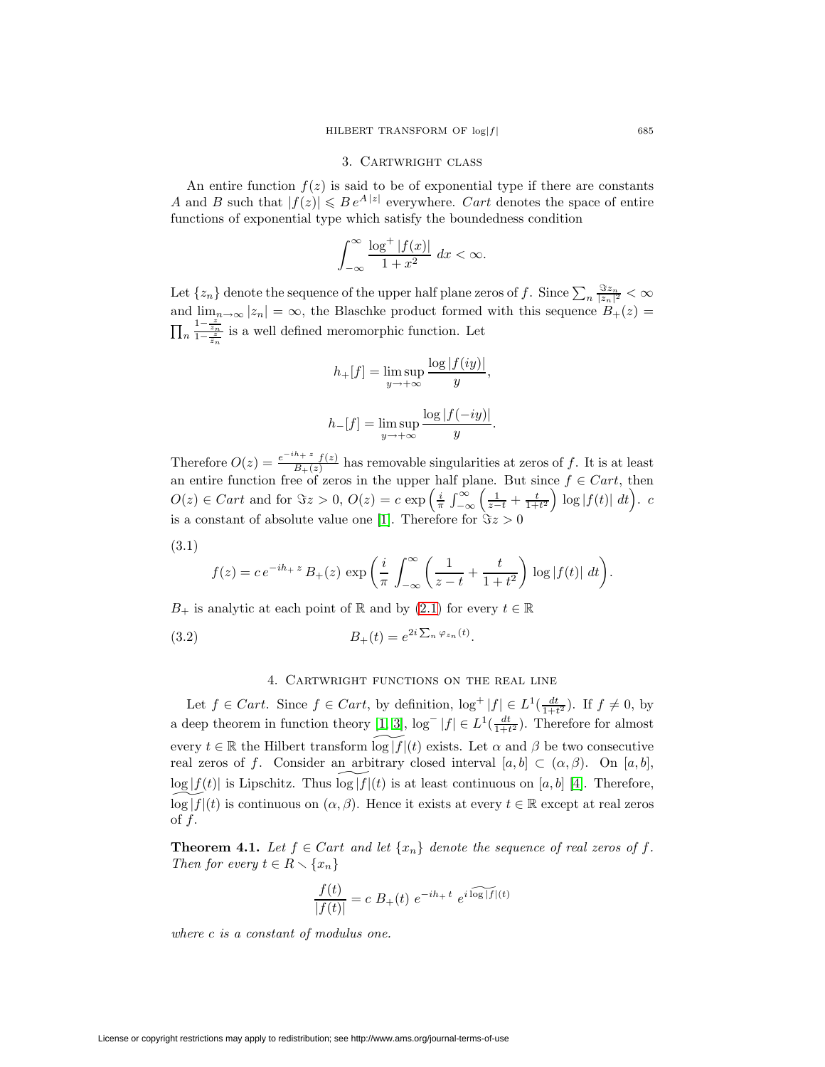### 3. CARTWRIGHT CLASS

An entire function  $f(z)$  is said to be of exponential type if there are constants A and B such that  $|f(z)| \leq Be^{A|z|}$  everywhere. Cart denotes the space of entire functions of exponential type which satisfy the boundedness condition

$$
\int_{-\infty}^{\infty} \frac{\log^+|f(x)|}{1+x^2} \, dx < \infty.
$$

Let  $\{z_n\}$  denote the sequence of the upper half plane zeros of f. Since  $\sum_n \frac{\Im z_n}{|z_n|^2} < \infty$ and  $\lim_{n\to\infty} |z_n| = \infty$ , the Blaschke product formed with this sequence  $B_+(z) =$  $\prod_n$  $\frac{1-\frac{z}{z_n}}{1-\frac{z}{z_n}}$  is a well defined meromorphic function. Let

$$
h_{+}[f] = \limsup_{y \to +\infty} \frac{\log |f(iy)|}{y},
$$
  

$$
h_{-}[f] = \limsup_{y \to +\infty} \frac{\log |f(-iy)|}{y}.
$$

Therefore  $O(z) = \frac{e^{-ih} + z f(z)}{B_+(z)}$  has removable singularities at zeros of f. It is at least an entire function free of zeros in the upper half plane. But since  $f \in Cart$ , then  $O(z) \in Cart$  and for  $\Im z > 0$ ,  $O(z) = c \exp \left( \frac{i}{\pi} \int_{-\infty}^{\infty} \left( \frac{1}{z-t} + \frac{t}{1+t^2} \right)$  $\int \log |f(t)| dt$ . c is a constant of absolute value one [\[1\]](#page-5-2). Therefore for  $\Im z > 0$ 

<span id="page-2-0"></span>
$$
(3.1)
$$

$$
f(z) = c e^{-ih_+ z} B_+(z) \exp\left(\frac{i}{\pi} \int_{-\infty}^{\infty} \left(\frac{1}{z-t} + \frac{t}{1+t^2}\right) \log|f(t)| dt\right).
$$

 $B_+$  is analytic at each point of R and by [\(2.1\)](#page-1-0) for every  $t \in \mathbb{R}$ 

(3.2) 
$$
B_{+}(t) = e^{2i \sum_{n} \varphi_{z_n}(t)}.
$$

### <span id="page-2-2"></span>4. Cartwright functions on the real line

Let  $f \in Cart$ . Since  $f \in Cart$ , by definition,  $\log^+ |f| \in L^1(\frac{dt}{1+t^2})$ . If  $f \neq 0$ , by a deep theorem in function theory [\[1,](#page-5-2) [3\]](#page-5-0),  $\log^{-}|f| \in L^1(\frac{dt}{1+t^2})$ . Therefore for almost every  $t \in \mathbb{R}$  the Hilbert transform  $\log|f|(t)$  exists. Let  $\alpha$  and  $\beta$  be two consecutive real zeros of f. Consider an arbitrary closed interval  $[a, b] \subset (\alpha, \beta)$ . On  $[a, b]$ ,  $\log|f(t)|$  is Lipschitz. Thus  $\log|f|(t)$  is at least continuous on [a, b] [\[4\]](#page-5-3). Therefore,  $\log|f|(t)$  is continuous on  $(\alpha, \beta)$ . Hence it exists at every  $t \in \mathbb{R}$  except at real zeros of  $f$ .

<span id="page-2-1"></span>**Theorem 4.1.** Let  $f \in Cart$  and let  $\{x_n\}$  denote the sequence of real zeros of f. Then for every  $t \in R \setminus \{x_n\}$ 

$$
\frac{f(t)}{|f(t)|} = c B_{+}(t) e^{-ih_{+} t} e^{i \widehat{\log|f|}(t)}
$$

where c is a constant of modulus one.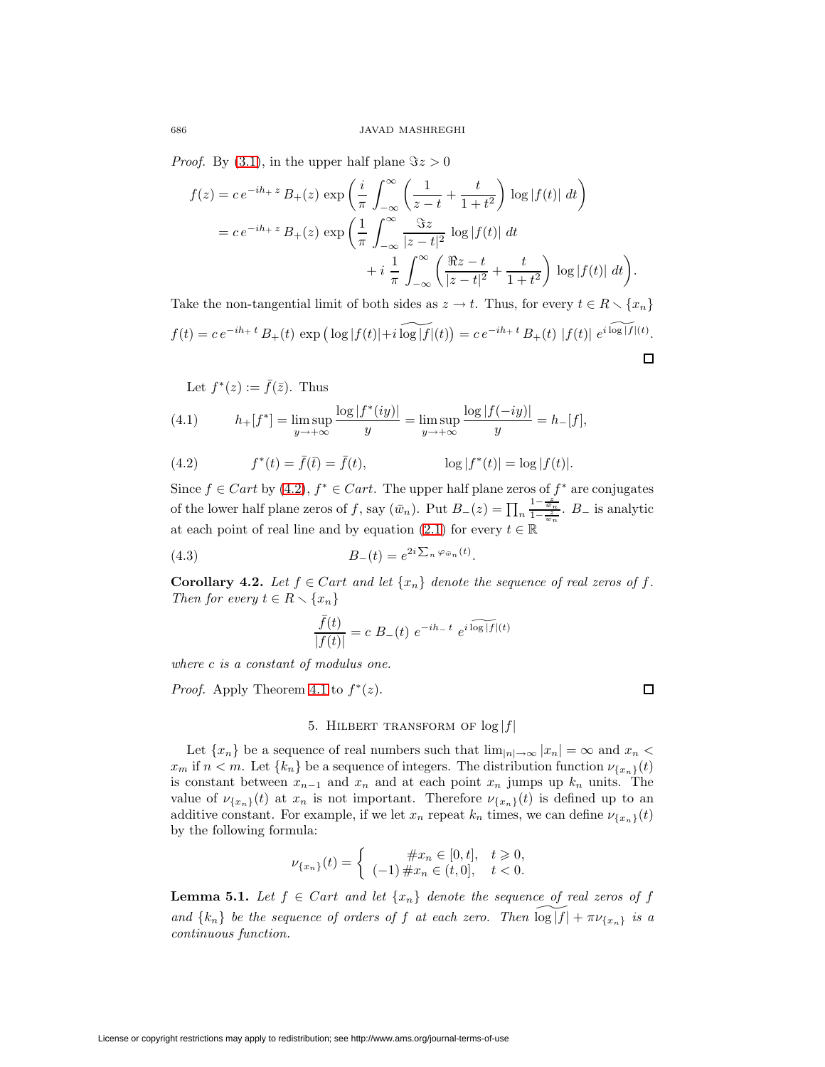*Proof.* By [\(3.1\)](#page-2-0), in the upper half plane  $\Im z > 0$ 

$$
f(z) = c e^{-ih + z} B_{+}(z) \exp\left(\frac{i}{\pi} \int_{-\infty}^{\infty} \left(\frac{1}{z - t} + \frac{t}{1 + t^{2}}\right) \log|f(t)| dt\right)
$$
  
=  $c e^{-ih + z} B_{+}(z) \exp\left(\frac{1}{\pi} \int_{-\infty}^{\infty} \frac{\Im z}{|z - t|^{2}} \log|f(t)| dt + i \frac{1}{\pi} \int_{-\infty}^{\infty} \left(\frac{\Re z - t}{|z - t|^{2}} + \frac{t}{1 + t^{2}}\right) \log|f(t)| dt\right).$ 

Take the non-tangential limit of both sides as  $z \to t$ . Thus, for every  $t \in R \setminus \{x_n\}$  $f(t) = c e^{-ih_+ t} B_+(t) \exp \left( \log |f(t)| + i \log |f|(t) \right) = c e^{-ih_+ t} B_+(t) |f(t)| e^{i \log |f|(t)}$ . 口

Let 
$$
f^*(z) := \overline{f}(\overline{z})
$$
. Thus

(4.1) 
$$
h_{+}[f^{*}] = \lim_{y \to +\infty} \frac{\log |f^{*}(iy)|}{y} = \lim_{y \to +\infty} \frac{\log |f(-iy)|}{y} = h_{-}[f],
$$

<span id="page-3-0"></span>(4.2) 
$$
f^*(t) = \bar{f}(t) = \bar{f}(t), \qquad \log |f^*(t)| = \log |f(t)|.
$$

Since  $f \in Cart$  by [\(4.2\)](#page-3-0),  $f^* \in Cart$ . The upper half plane zeros of  $f^*$  are conjugates of the lower half plane zeros of f, say  $(\bar{w}_n)$ . Put  $B_-(z) = \prod_n$  $\frac{1-\frac{z}{\bar{w}_n}}{1-\frac{z}{\bar{w}_n}}$ .  $B_-$  is analytic at each point of real line and by equation [\(2.1\)](#page-1-0) for every  $t \in \mathbb{R}$ 

<span id="page-3-2"></span><span id="page-3-1"></span>(4.3) 
$$
B_{-}(t) = e^{2i \sum_{n} \varphi_{\bar{w}_n}(t)}.
$$

**Corollary 4.2.** Let  $f \in Cart$  and let  $\{x_n\}$  denote the sequence of real zeros of f. Then for every  $t \in R \setminus \{x_n\}$ 

$$
\frac{\bar{f}(t)}{|f(t)|} = c \ B_{-}(t) \ e^{-ih_{-}t} \ e^{i \widehat{\log|f|}(t)}
$$

where c is a constant of modulus one.

*Proof.* Apply Theorem [4.1](#page-2-1) to  $f^*(z)$ .

 $\Box$ 

# 5. HILBERT TRANSFORM OF  $log|f|$

Let  $\{x_n\}$  be a sequence of real numbers such that  $\lim_{|n|\to\infty} |x_n| = \infty$  and  $x_n <$  $x_m$  if  $n < m$ . Let  $\{k_n\}$  be a sequence of integers. The distribution function  $\nu_{\{x_n\}}(t)$ is constant between  $x_{n-1}$  and  $x_n$  and at each point  $x_n$  jumps up  $k_n$  units. The value of  $\nu_{\{x_n\}}(t)$  at  $x_n$  is not important. Therefore  $\nu_{\{x_n\}}(t)$  is defined up to an additive constant. For example, if we let  $x_n$  repeat  $k_n$  times, we can define  $\nu_{\{x_n\}}(t)$ by the following formula:

$$
\nu_{\{x_n\}}(t) = \begin{cases}\n\#x_n \in [0, t], & t \geq 0, \\
(-1) \#x_n \in (t, 0], & t < 0.\n\end{cases}
$$

<span id="page-3-3"></span>**Lemma 5.1.** Let  $f \in Cart$  and let  $\{x_n\}$  denote the sequence of real zeros of f and  $\{k_n\}$  be the sequence of orders of f at each zero. Then  $\log|f| + \pi \nu_{\{x_n\}}$  is a continuous function.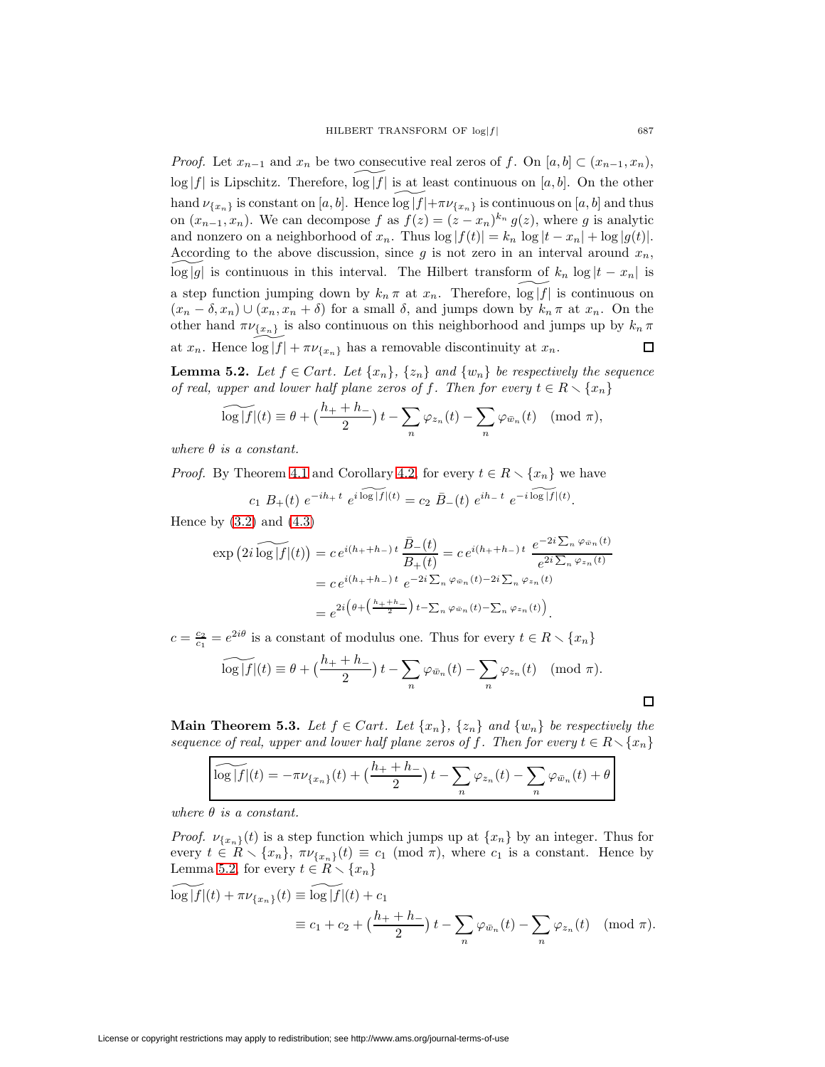*Proof.* Let  $x_{n-1}$  and  $x_n$  be two consecutive real zeros of f. On [a, b] ⊂  $(x_{n-1}, x_n)$ ,  $\log|f|$  is Lipschitz. Therefore,  $\log|f|$  is at least continuous on [a, b]. On the other hand  $\nu_{\{x_n\}}$  is constant on [a, b]. Hence  $\log|f|+\pi\nu_{\{x_n\}}$  is continuous on [a, b] and thus on  $(x_{n-1}, x_n)$ . We can decompose f as  $f(z)=(z-x_n)^{k_n} g(z)$ , where g is analytic and nonzero on a neighborhood of  $x_n$ . Thus  $\log |f(t)| = k_n \log |t - x_n| + \log |g(t)|$ . According to the above discussion, since  $g$  is not zero in an interval around  $x_n$ ,  $\log|g|$  is continuous in this interval. The Hilbert transform of  $k_n \log |t - x_n|$  is a step function jumping down by  $k_n \pi$  at  $x_n$ . Therefore,  $\log|f|$  is continuous on  $(x_n - \delta, x_n) \cup (x_n, x_n + \delta)$  for a small  $\delta$ , and jumps down by  $k_n \pi$  at  $x_n$ . On the other hand  $\pi \nu_{\{x_n\}}$  is also continuous on this neighborhood and jumps up by  $k_n \pi$ at  $x_n$ . Hence  $\log|f| + \pi \nu_{\{x_n\}}$  has a removable discontinuity at  $x_n$ .  $\Box$ 

<span id="page-4-0"></span>**Lemma 5.2.** Let  $f \in Cart$ . Let  $\{x_n\}, \{z_n\}$  and  $\{w_n\}$  be respectively the sequence of real, upper and lower half plane zeros of f. Then for every  $t \in R \setminus \{x_n\}$ 

$$
\widetilde{\log|f|}(t) \equiv \theta + \left(\frac{h_+ + h_-}{2}\right)t - \sum_n \varphi_{z_n}(t) - \sum_n \varphi_{\bar{w}_n}(t) \pmod{\pi},
$$

where  $\theta$  is a constant.

*Proof.* By Theorem [4.1](#page-2-1) and Corollary [4.2,](#page-3-1) for every  $t \in R \setminus \{x_n\}$  we have

$$
c_1 B_+(t) e^{-ih_+ t} e^{i \log |f|(t)} = c_2 \bar{B}_-(t) e^{ih_- t} e^{-i \log |f|(t)}.
$$

Hence by  $(3.2)$  and  $(4.3)$ 

$$
\exp\left(2i\log|f|(t)\right) = c e^{i(h_+ + h_-)t} \frac{\bar{B}_-(t)}{B_+(t)} = c e^{i(h_+ + h_-)t} \frac{e^{-2i\sum_n \varphi_{\bar{w}_n}(t)}}{e^{2i\sum_n \varphi_{z_n}(t)}}
$$

$$
= c e^{i(h_+ + h_-)t} e^{-2i\sum_n \varphi_{\bar{w}_n}(t) - 2i\sum_n \varphi_{z_n}(t)}
$$

$$
= e^{2i\left(\theta + \left(\frac{h_+ + h_-}{2}\right)t - \sum_n \varphi_{\bar{w}_n}(t) - \sum_n \varphi_{z_n}(t)\right)}.
$$

 $c = \frac{c_2}{c_1} = e^{2i\theta}$  is a constant of modulus one. Thus for every  $t \in R \setminus \{x_n\}$ 

$$
\widetilde{\log|f|}(t) \equiv \theta + \left(\frac{h_+ + h_-}{2}\right)t - \sum_n \varphi_{\bar{w}_n}(t) - \sum_n \varphi_{z_n}(t) \pmod{\pi}.
$$

**Main Theorem 5.3.** Let  $f \in Cart$ . Let  $\{x_n\}$ ,  $\{z_n\}$  and  $\{w_n\}$  be respectively the sequence of real, upper and lower half plane zeros of f. Then for every  $t \in R \setminus \{x_n\}$ 

$$
\widetilde{\log |f|}(t) = -\pi \nu_{\{x_n\}}(t) + \left(\frac{h_+ + h_-}{2}\right)t - \sum_n \varphi_{z_n}(t) - \sum_n \varphi_{\bar{w}_n}(t) + \theta
$$

where  $\theta$  is a constant.

*Proof.*  $\nu_{\{x_n\}}(t)$  is a step function which jumps up at  $\{x_n\}$  by an integer. Thus for every  $t \in R \setminus \{x_n\}, \pi \nu_{\{x_n\}}(t) \equiv c_1 \pmod{\pi}$ , where  $c_1$  is a constant. Hence by Lemma [5.2,](#page-4-0) for every  $t \in R \setminus \{x_n\}$ 

$$
\log |f|(t) + \pi \nu_{\{x_n\}}(t) \equiv \log |f|(t) + c_1
$$
  

$$
\equiv c_1 + c_2 + \left(\frac{h_+ + h_-}{2}\right)t - \sum_n \varphi_{\bar{w}_n}(t) - \sum_n \varphi_{z_n}(t) \pmod{\pi}.
$$

 $\Box$